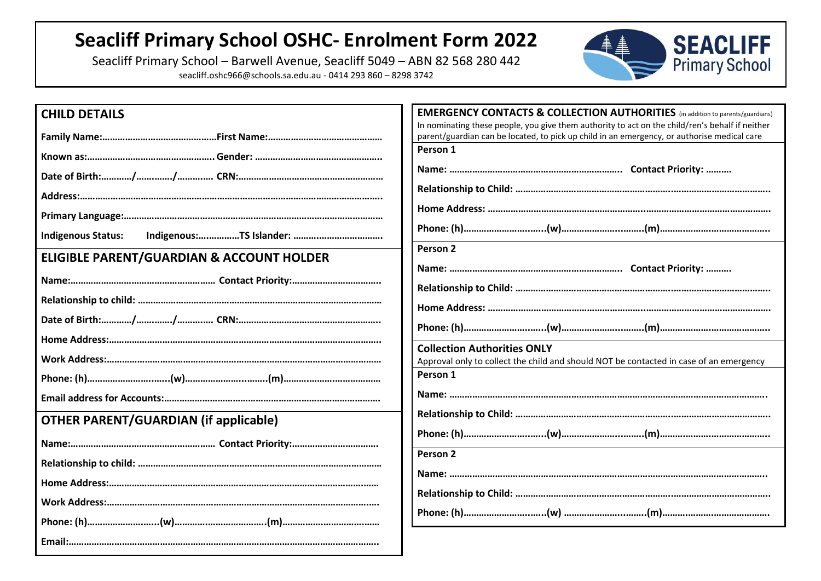## **Seacliff Primary School OSHC- Enrolment Form 2022**

Seacliff Primary School – Barwell Avenue, Seacliff 5049 – ABN 82 568 280 442 seacliff.oshc966@schools.sa.edu.au - 0414 293 860 – 8298 3742



| <b>CHILD DETAILS</b>                         | <b>EMERGENCY CONTACTS &amp; COLLECTION AUTHORITIES</b> (in addition to parents/guardians)                                                                                                      |
|----------------------------------------------|------------------------------------------------------------------------------------------------------------------------------------------------------------------------------------------------|
|                                              | In nominating these people, you give them authority to act on the child/ren's behalf if neither<br>parent/guardian can be located, to pick up child in an emergency, or authorise medical care |
|                                              | Person 1                                                                                                                                                                                       |
|                                              |                                                                                                                                                                                                |
|                                              |                                                                                                                                                                                                |
|                                              |                                                                                                                                                                                                |
| <b>Indigenous Status:</b>                    |                                                                                                                                                                                                |
| ELIGIBLE PARENT/GUARDIAN & ACCOUNT HOLDER    | Person <sub>2</sub>                                                                                                                                                                            |
|                                              |                                                                                                                                                                                                |
|                                              |                                                                                                                                                                                                |
|                                              |                                                                                                                                                                                                |
|                                              |                                                                                                                                                                                                |
|                                              | <b>Collection Authorities ONLY</b>                                                                                                                                                             |
|                                              | Approval only to collect the child and should NOT be contacted in case of an emergency                                                                                                         |
|                                              | Person 1                                                                                                                                                                                       |
|                                              |                                                                                                                                                                                                |
| <b>OTHER PARENT/GUARDIAN (if applicable)</b> |                                                                                                                                                                                                |
|                                              |                                                                                                                                                                                                |
|                                              | Person <sub>2</sub>                                                                                                                                                                            |
|                                              |                                                                                                                                                                                                |
|                                              |                                                                                                                                                                                                |
|                                              |                                                                                                                                                                                                |
|                                              |                                                                                                                                                                                                |
|                                              |                                                                                                                                                                                                |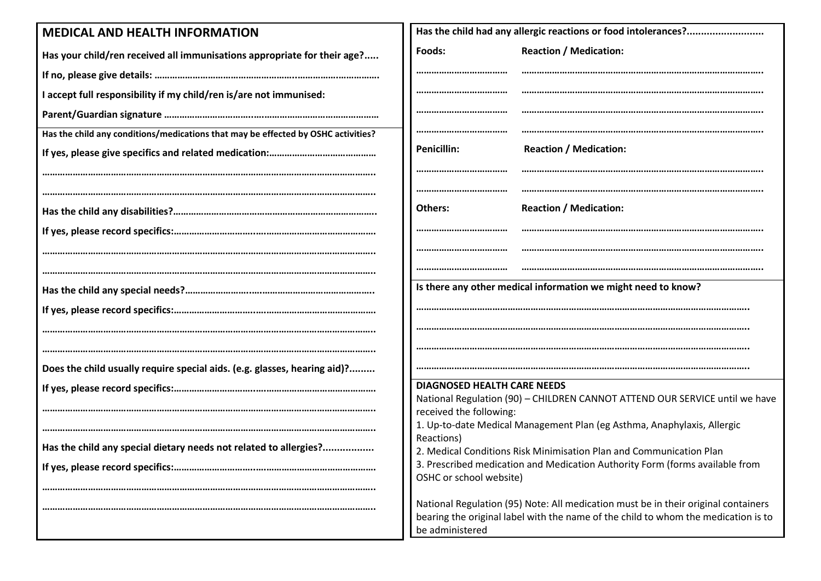| <b>MEDICAL AND HEALTH INFORMATION</b>                                             |                                                                                                                                                                                             |  |  |  |
|-----------------------------------------------------------------------------------|---------------------------------------------------------------------------------------------------------------------------------------------------------------------------------------------|--|--|--|
| Has your child/ren received all immunisations appropriate for their age?          | <b>Reaction / Medication:</b><br>Foods:                                                                                                                                                     |  |  |  |
|                                                                                   |                                                                                                                                                                                             |  |  |  |
| I accept full responsibility if my child/ren is/are not immunised:                |                                                                                                                                                                                             |  |  |  |
|                                                                                   |                                                                                                                                                                                             |  |  |  |
| Has the child any conditions/medications that may be effected by OSHC activities? |                                                                                                                                                                                             |  |  |  |
|                                                                                   | <b>Reaction / Medication:</b><br><b>Penicillin:</b>                                                                                                                                         |  |  |  |
|                                                                                   |                                                                                                                                                                                             |  |  |  |
|                                                                                   | <b>Reaction / Medication:</b><br>Others:                                                                                                                                                    |  |  |  |
|                                                                                   |                                                                                                                                                                                             |  |  |  |
|                                                                                   |                                                                                                                                                                                             |  |  |  |
|                                                                                   |                                                                                                                                                                                             |  |  |  |
|                                                                                   | Is there any other medical information we might need to know?                                                                                                                               |  |  |  |
|                                                                                   |                                                                                                                                                                                             |  |  |  |
|                                                                                   |                                                                                                                                                                                             |  |  |  |
|                                                                                   |                                                                                                                                                                                             |  |  |  |
|                                                                                   |                                                                                                                                                                                             |  |  |  |
| Does the child usually require special aids. (e.g. glasses, hearing aid)?         |                                                                                                                                                                                             |  |  |  |
|                                                                                   | <b>DIAGNOSED HEALTH CARE NEEDS</b><br>National Regulation (90) - CHILDREN CANNOT ATTEND OUR SERVICE until we have                                                                           |  |  |  |
|                                                                                   | received the following:                                                                                                                                                                     |  |  |  |
|                                                                                   | 1. Up-to-date Medical Management Plan (eg Asthma, Anaphylaxis, Allergic                                                                                                                     |  |  |  |
| Has the child any special dietary needs not related to allergies?                 | Reactions)                                                                                                                                                                                  |  |  |  |
|                                                                                   | 2. Medical Conditions Risk Minimisation Plan and Communication Plan<br>3. Prescribed medication and Medication Authority Form (forms available from                                         |  |  |  |
|                                                                                   | OSHC or school website)                                                                                                                                                                     |  |  |  |
|                                                                                   |                                                                                                                                                                                             |  |  |  |
|                                                                                   | National Regulation (95) Note: All medication must be in their original containers<br>bearing the original label with the name of the child to whom the medication is to<br>be administered |  |  |  |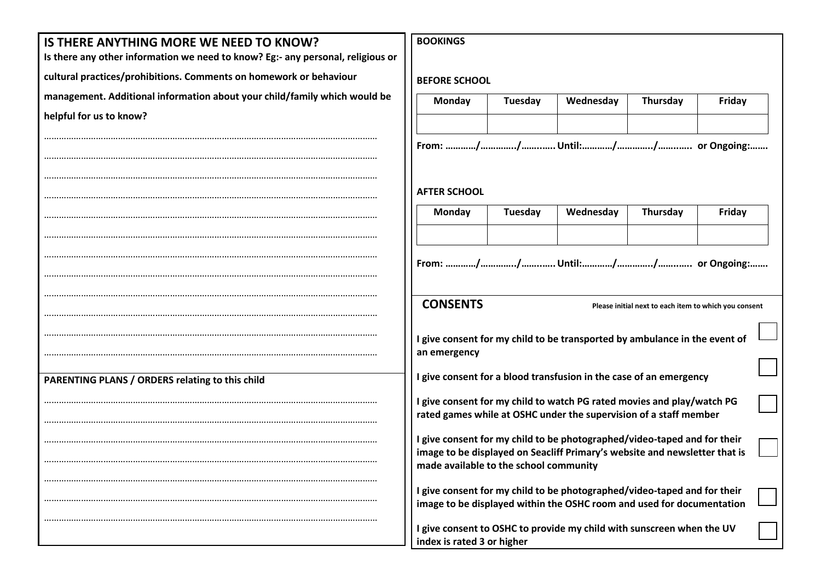| IS THERE ANYTHING MORE WE NEED TO KNOW?                                         | <b>BOOKINGS</b>                                                                                                      |         |                                                                   |                 |        |  |
|---------------------------------------------------------------------------------|----------------------------------------------------------------------------------------------------------------------|---------|-------------------------------------------------------------------|-----------------|--------|--|
| Is there any other information we need to know? Eg:- any personal, religious or |                                                                                                                      |         |                                                                   |                 |        |  |
| cultural practices/prohibitions. Comments on homework or behaviour              | <b>BEFORE SCHOOL</b>                                                                                                 |         |                                                                   |                 |        |  |
| management. Additional information about your child/family which would be       | Monday                                                                                                               | Tuesday | Wednesday                                                         | Thursday        | Friday |  |
| helpful for us to know?                                                         |                                                                                                                      |         |                                                                   |                 |        |  |
|                                                                                 |                                                                                                                      |         |                                                                   |                 |        |  |
|                                                                                 |                                                                                                                      |         |                                                                   |                 |        |  |
|                                                                                 |                                                                                                                      |         |                                                                   |                 |        |  |
|                                                                                 | <b>AFTER SCHOOL</b>                                                                                                  |         |                                                                   |                 |        |  |
|                                                                                 | Monday                                                                                                               | Tuesday | Wednesday                                                         | <b>Thursday</b> | Friday |  |
|                                                                                 |                                                                                                                      |         |                                                                   |                 |        |  |
|                                                                                 |                                                                                                                      |         |                                                                   |                 |        |  |
|                                                                                 |                                                                                                                      |         |                                                                   |                 |        |  |
|                                                                                 | <b>CONSENTS</b>                                                                                                      |         |                                                                   |                 |        |  |
|                                                                                 | Please initial next to each item to which you consent                                                                |         |                                                                   |                 |        |  |
|                                                                                 | I give consent for my child to be transported by ambulance in the event of                                           |         |                                                                   |                 |        |  |
|                                                                                 | an emergency                                                                                                         |         |                                                                   |                 |        |  |
| PARENTING PLANS / ORDERS relating to this child                                 | I give consent for a blood transfusion in the case of an emergency                                                   |         |                                                                   |                 |        |  |
|                                                                                 | I give consent for my child to watch PG rated movies and play/watch PG                                               |         |                                                                   |                 |        |  |
|                                                                                 |                                                                                                                      |         | rated games while at OSHC under the supervision of a staff member |                 |        |  |
|                                                                                 | I give consent for my child to be photographed/video-taped and for their                                             |         |                                                                   |                 |        |  |
|                                                                                 | image to be displayed on Seacliff Primary's website and newsletter that is<br>made available to the school community |         |                                                                   |                 |        |  |
|                                                                                 |                                                                                                                      |         |                                                                   |                 |        |  |
|                                                                                 | I give consent for my child to be photographed/video-taped and for their                                             |         |                                                                   |                 |        |  |
|                                                                                 | image to be displayed within the OSHC room and used for documentation                                                |         |                                                                   |                 |        |  |
|                                                                                 | I give consent to OSHC to provide my child with sunscreen when the UV<br>index is rated 3 or higher                  |         |                                                                   |                 |        |  |
|                                                                                 |                                                                                                                      |         |                                                                   |                 |        |  |